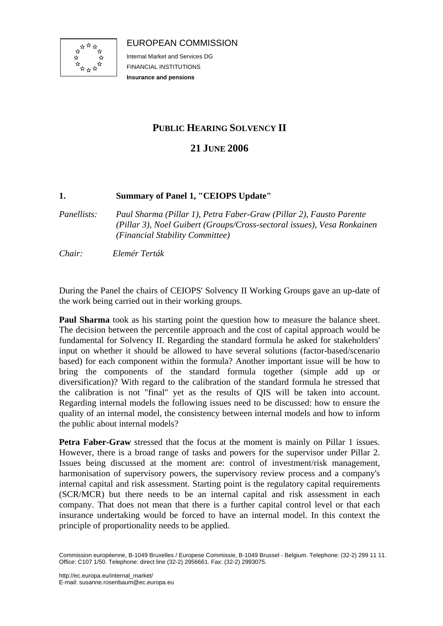

EUROPEAN COMMISSION

Internal Market and Services DG FINANCIAL INSTITUTIONS **Insurance and pensions**

# **PUBLIC HEARING SOLVENCY II**

## **21 JUNE 2006**

### **1. Summary of Panel 1, "CEIOPS Update"**

- *Panellists: Paul Sharma (Pillar 1), Petra Faber-Graw (Pillar 2), Fausto Parente (Pillar 3), Noel Guibert (Groups/Cross-sectoral issues), Vesa Ronkainen (Financial Stability Committee)*
- *Chair: Elemér Terták*

During the Panel the chairs of CEIOPS' Solvency II Working Groups gave an up-date of the work being carried out in their working groups.

**Paul Sharma** took as his starting point the question how to measure the balance sheet. The decision between the percentile approach and the cost of capital approach would be fundamental for Solvency II. Regarding the standard formula he asked for stakeholders' input on whether it should be allowed to have several solutions (factor-based/scenario based) for each component within the formula? Another important issue will be how to bring the components of the standard formula together (simple add up or diversification)? With regard to the calibration of the standard formula he stressed that the calibration is not "final" yet as the results of QIS will be taken into account. Regarding internal models the following issues need to be discussed: how to ensure the quality of an internal model, the consistency between internal models and how to inform the public about internal models?

Petra Faber-Graw stressed that the focus at the moment is mainly on Pillar 1 issues. However, there is a broad range of tasks and powers for the supervisor under Pillar 2. Issues being discussed at the moment are: control of investment/risk management, harmonisation of supervisory powers, the supervisory review process and a company's internal capital and risk assessment. Starting point is the regulatory capital requirements (SCR/MCR) but there needs to be an internal capital and risk assessment in each company. That does not mean that there is a further capital control level or that each insurance undertaking would be forced to have an internal model. In this context the principle of proportionality needs to be applied.

Commission européenne, B-1049 Bruxelles / Europese Commissie, B-1049 Brussel - Belgium. Telephone: (32-2) 299 11 11. Office: C107 1/50. Telephone: direct line (32-2) 2956661. Fax: (32-2) 2993075.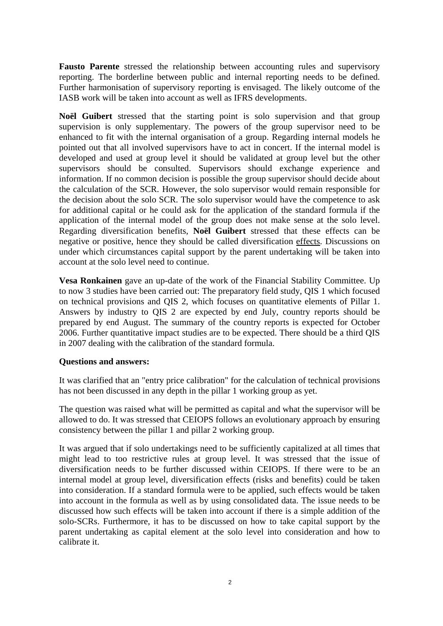**Fausto Parente** stressed the relationship between accounting rules and supervisory reporting. The borderline between public and internal reporting needs to be defined. Further harmonisation of supervisory reporting is envisaged. The likely outcome of the IASB work will be taken into account as well as IFRS developments.

**Noël Guibert** stressed that the starting point is solo supervision and that group supervision is only supplementary. The powers of the group supervisor need to be enhanced to fit with the internal organisation of a group. Regarding internal models he pointed out that all involved supervisors have to act in concert. If the internal model is developed and used at group level it should be validated at group level but the other supervisors should be consulted. Supervisors should exchange experience and information. If no common decision is possible the group supervisor should decide about the calculation of the SCR. However, the solo supervisor would remain responsible for the decision about the solo SCR. The solo supervisor would have the competence to ask for additional capital or he could ask for the application of the standard formula if the application of the internal model of the group does not make sense at the solo level. Regarding diversification benefits, **Noël Guibert** stressed that these effects can be negative or positive, hence they should be called diversification effects. Discussions on under which circumstances capital support by the parent undertaking will be taken into account at the solo level need to continue.

**Vesa Ronkainen** gave an up-date of the work of the Financial Stability Committee. Up to now 3 studies have been carried out: The preparatory field study, QIS 1 which focused on technical provisions and QIS 2, which focuses on quantitative elements of Pillar 1. Answers by industry to QIS 2 are expected by end July, country reports should be prepared by end August. The summary of the country reports is expected for October 2006. Further quantitative impact studies are to be expected. There should be a third QIS in 2007 dealing with the calibration of the standard formula.

#### **Questions and answers:**

It was clarified that an "entry price calibration" for the calculation of technical provisions has not been discussed in any depth in the pillar 1 working group as yet.

The question was raised what will be permitted as capital and what the supervisor will be allowed to do. It was stressed that CEIOPS follows an evolutionary approach by ensuring consistency between the pillar 1 and pillar 2 working group.

It was argued that if solo undertakings need to be sufficiently capitalized at all times that might lead to too restrictive rules at group level. It was stressed that the issue of diversification needs to be further discussed within CEIOPS. If there were to be an internal model at group level, diversification effects (risks and benefits) could be taken into consideration. If a standard formula were to be applied, such effects would be taken into account in the formula as well as by using consolidated data. The issue needs to be discussed how such effects will be taken into account if there is a simple addition of the solo-SCRs. Furthermore, it has to be discussed on how to take capital support by the parent undertaking as capital element at the solo level into consideration and how to calibrate it.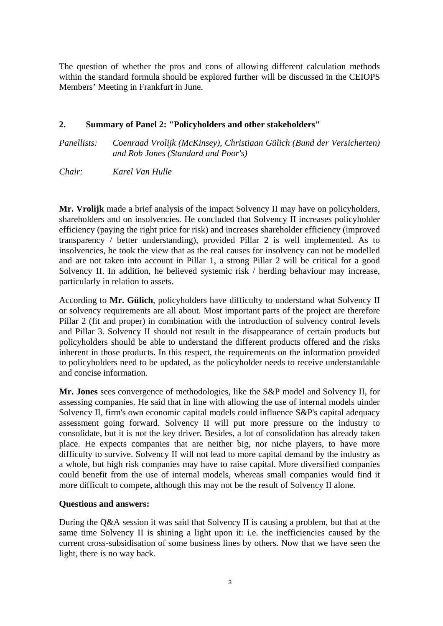The question of whether the pros and cons of allowing different calculation methods within the standard formula should be explored further will be discussed in the CEIOPS Members' Meeting in Frankfurt in June.

#### **2. Summary of Panel 2: "Policyholders and other stakeholders"**

*Panellists: Coenraad Vrolijk (McKinsey), Christiaan Gülich (Bund der Versicherten) and Rob Jones (Standard and Poor's)* 

*Chair: Karel Van Hulle* 

**Mr. Vrolijk** made a brief analysis of the impact Solvency II may have on policyholders, shareholders and on insolvencies. He concluded that Solvency II increases policyholder efficiency (paying the right price for risk) and increases shareholder efficiency (improved transparency / better understanding), provided Pillar 2 is well implemented. As to insolvencies, he took the view that as the real causes for insolvency can not be modelled and are not taken into account in Pillar 1, a strong Pillar 2 will be critical for a good Solvency II. In addition, he believed systemic risk / herding behaviour may increase, particularly in relation to assets.

According to **Mr. Gülich**, policyholders have difficulty to understand what Solvency II or solvency requirements are all about. Most important parts of the project are therefore Pillar 2 (fit and proper) in combination with the introduction of solvency control levels and Pillar 3. Solvency II should not result in the disappearance of certain products but policyholders should be able to understand the different products offered and the risks inherent in those products. In this respect, the requirements on the information provided to policyholders need to be updated, as the policyholder needs to receive understandable and concise information.

**Mr. Jones** sees convergence of methodologies, like the S&P model and Solvency II, for assessing companies. He said that in line with allowing the use of internal models uinder Solvency II, firm's own economic capital models could influence S&P's capital adequacy assessment going forward. Solvency II will put more pressure on the industry to consolidate, but it is not the key driver. Besides, a lot of consolidation has already taken place. He expects companies that are neither big, nor niche players, to have more difficulty to survive. Solvency II will not lead to more capital demand by the industry as a whole, but high risk companies may have to raise capital. More diversified companies could benefit from the use of internal models, whereas small companies would find it more difficult to compete, although this may not be the result of Solvency II alone.

#### **Questions and answers:**

During the Q&A session it was said that Solvency II is causing a problem, but that at the same time Solvency II is shining a light upon it: i.e. the inefficiencies caused by the current cross-subsidisation of some business lines by others. Now that we have seen the light, there is no way back.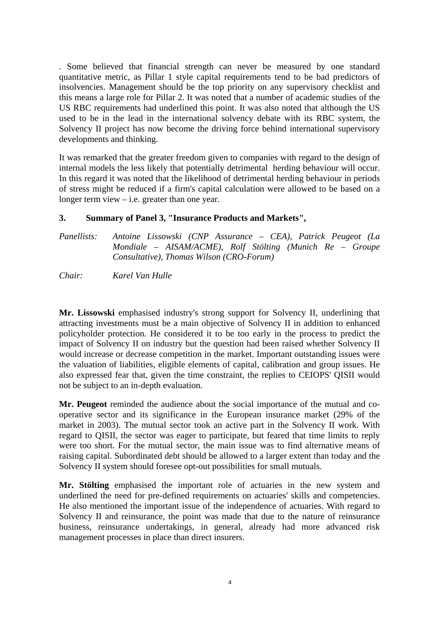. Some believed that financial strength can never be measured by one standard quantitative metric, as Pillar 1 style capital requirements tend to be bad predictors of insolvencies. Management should be the top priority on any supervisory checklist and this means a large role for Pillar 2. It was noted that a number of academic studies of the US RBC requirements had underlined this point. It was also noted that although the US used to be in the lead in the international solvency debate with its RBC system, the Solvency II project has now become the driving force behind international supervisory developments and thinking.

It was remarked that the greater freedom given to companies with regard to the design of internal models the less likely that potentially detrimental herding behaviour will occur. In this regard it was noted that the likelihood of detrimental herding behaviour in periods of stress might be reduced if a firm's capital calculation were allowed to be based on a longer term view – i.e. greater than one year.

#### **3. Summary of Panel 3, "Insurance Products and Markets",**

| <i>Panellists:</i> | Antoine Lissowski (CNP Assurance – CEA), Patrick Peugeot (La |
|--------------------|--------------------------------------------------------------|
|                    | Mondiale – AISAM/ACME), Rolf Stölting (Munich Re – Groupe    |
|                    | Consultative), Thomas Wilson (CRO-Forum)                     |

*Chair: Karel Van Hulle* 

**Mr. Lissowski** emphasised industry's strong support for Solvency II, underlining that attracting investments must be a main objective of Solvency II in addition to enhanced policyholder protection. He considered it to be too early in the process to predict the impact of Solvency II on industry but the question had been raised whether Solvency II would increase or decrease competition in the market. Important outstanding issues were the valuation of liabilities, eligible elements of capital, calibration and group issues. He also expressed fear that, given the time constraint, the replies to CEIOPS' QISII would not be subject to an in-depth evaluation.

**Mr. Peugeot** reminded the audience about the social importance of the mutual and cooperative sector and its significance in the European insurance market (29% of the market in 2003). The mutual sector took an active part in the Solvency II work. With regard to QISII, the sector was eager to participate, but feared that time limits to reply were too short. For the mutual sector, the main issue was to find alternative means of raising capital. Subordinated debt should be allowed to a larger extent than today and the Solvency II system should foresee opt-out possibilities for small mutuals.

**Mr. Stölting** emphasised the important role of actuaries in the new system and underlined the need for pre-defined requirements on actuaries' skills and competencies. He also mentioned the important issue of the independence of actuaries. With regard to Solvency II and reinsurance, the point was made that due to the nature of reinsurance business, reinsurance undertakings, in general, already had more advanced risk management processes in place than direct insurers.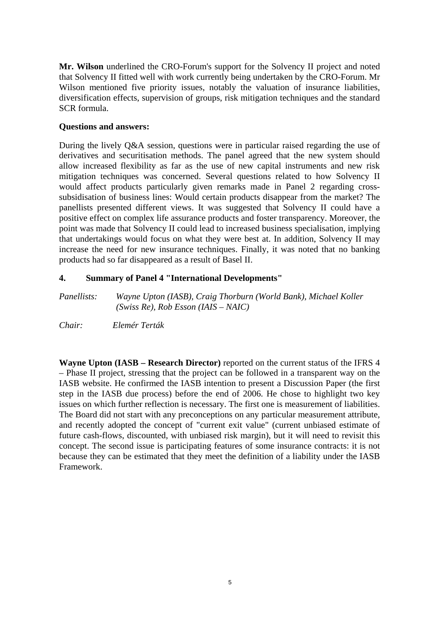**Mr. Wilson** underlined the CRO-Forum's support for the Solvency II project and noted that Solvency II fitted well with work currently being undertaken by the CRO-Forum. Mr Wilson mentioned five priority issues, notably the valuation of insurance liabilities, diversification effects, supervision of groups, risk mitigation techniques and the standard SCR formula.

#### **Questions and answers:**

During the lively Q&A session, questions were in particular raised regarding the use of derivatives and securitisation methods. The panel agreed that the new system should allow increased flexibility as far as the use of new capital instruments and new risk mitigation techniques was concerned. Several questions related to how Solvency II would affect products particularly given remarks made in Panel 2 regarding crosssubsidisation of business lines: Would certain products disappear from the market? The panellists presented different views. It was suggested that Solvency II could have a positive effect on complex life assurance products and foster transparency. Moreover, the point was made that Solvency II could lead to increased business specialisation, implying that undertakings would focus on what they were best at. In addition, Solvency II may increase the need for new insurance techniques. Finally, it was noted that no banking products had so far disappeared as a result of Basel II.

### **4. Summary of Panel 4 "International Developments"**

*Panellists: Wayne Upton (IASB), Craig Thorburn (World Bank), Michael Koller (Swiss Re), Rob Esson (IAIS – NAIC)* 

*Chair: Elemér Terták* 

**Wayne Upton (IASB – Research Director)** reported on the current status of the IFRS 4 – Phase II project, stressing that the project can be followed in a transparent way on the IASB website. He confirmed the IASB intention to present a Discussion Paper (the first step in the IASB due process) before the end of 2006. He chose to highlight two key issues on which further reflection is necessary. The first one is measurement of liabilities. The Board did not start with any preconceptions on any particular measurement attribute, and recently adopted the concept of "current exit value" (current unbiased estimate of future cash-flows, discounted, with unbiased risk margin), but it will need to revisit this concept. The second issue is participating features of some insurance contracts: it is not because they can be estimated that they meet the definition of a liability under the IASB Framework.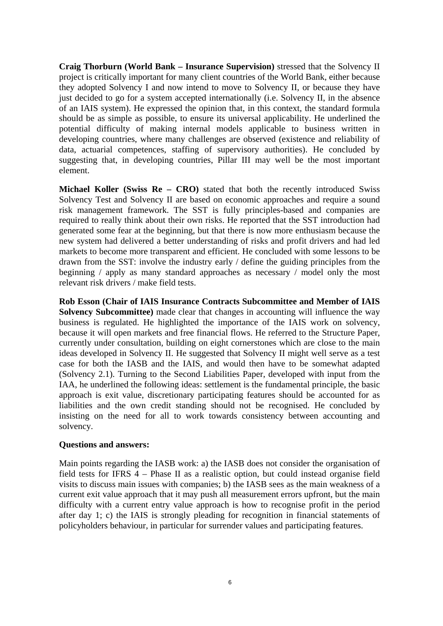**Craig Thorburn (World Bank – Insurance Supervision)** stressed that the Solvency II project is critically important for many client countries of the World Bank, either because they adopted Solvency I and now intend to move to Solvency II, or because they have just decided to go for a system accepted internationally (i.e. Solvency II, in the absence of an IAIS system). He expressed the opinion that, in this context, the standard formula should be as simple as possible, to ensure its universal applicability. He underlined the potential difficulty of making internal models applicable to business written in developing countries, where many challenges are observed (existence and reliability of data, actuarial competences, staffing of supervisory authorities). He concluded by suggesting that, in developing countries, Pillar III may well be the most important element.

**Michael Koller (Swiss Re – CRO)** stated that both the recently introduced Swiss Solvency Test and Solvency II are based on economic approaches and require a sound risk management framework. The SST is fully principles-based and companies are required to really think about their own risks. He reported that the SST introduction had generated some fear at the beginning, but that there is now more enthusiasm because the new system had delivered a better understanding of risks and profit drivers and had led markets to become more transparent and efficient. He concluded with some lessons to be drawn from the SST: involve the industry early / define the guiding principles from the beginning / apply as many standard approaches as necessary / model only the most relevant risk drivers / make field tests.

**Rob Esson (Chair of IAIS Insurance Contracts Subcommittee and Member of IAIS Solvency Subcommittee)** made clear that changes in accounting will influence the way business is regulated. He highlighted the importance of the IAIS work on solvency, because it will open markets and free financial flows. He referred to the Structure Paper, currently under consultation, building on eight cornerstones which are close to the main ideas developed in Solvency II. He suggested that Solvency II might well serve as a test case for both the IASB and the IAIS, and would then have to be somewhat adapted (Solvency 2.1). Turning to the Second Liabilities Paper, developed with input from the IAA, he underlined the following ideas: settlement is the fundamental principle, the basic approach is exit value, discretionary participating features should be accounted for as liabilities and the own credit standing should not be recognised. He concluded by insisting on the need for all to work towards consistency between accounting and solvency.

#### **Questions and answers:**

Main points regarding the IASB work: a) the IASB does not consider the organisation of field tests for IFRS 4 – Phase II as a realistic option, but could instead organise field visits to discuss main issues with companies; b) the IASB sees as the main weakness of a current exit value approach that it may push all measurement errors upfront, but the main difficulty with a current entry value approach is how to recognise profit in the period after day 1; c) the IAIS is strongly pleading for recognition in financial statements of policyholders behaviour, in particular for surrender values and participating features.